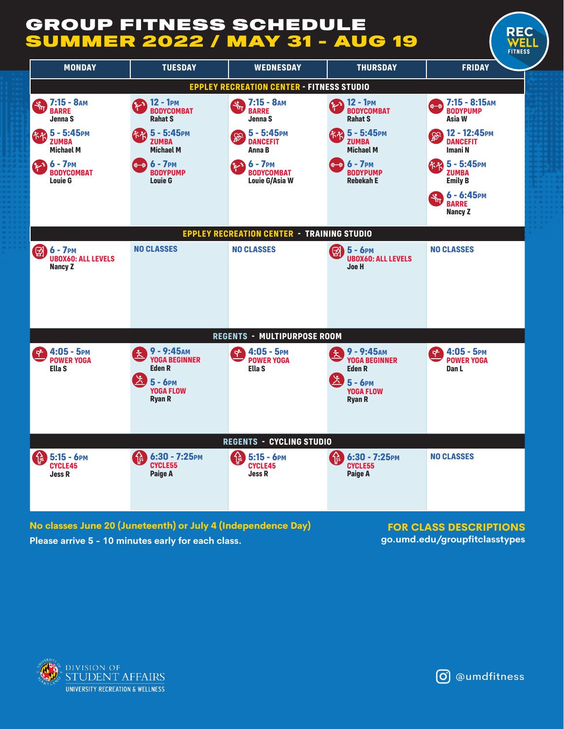## GROUP FITNESS SCHEDULE **UMMER 2022 / MAY 31 - AUG 19**



**Please arrive 5 - 10 minutes early for each class. go.umd.edu/groupfitclasstypes No classes June 20 (Juneteenth) or July 4 (Independence Day)** 

**FOR CLASS DESCRIPTIONS**